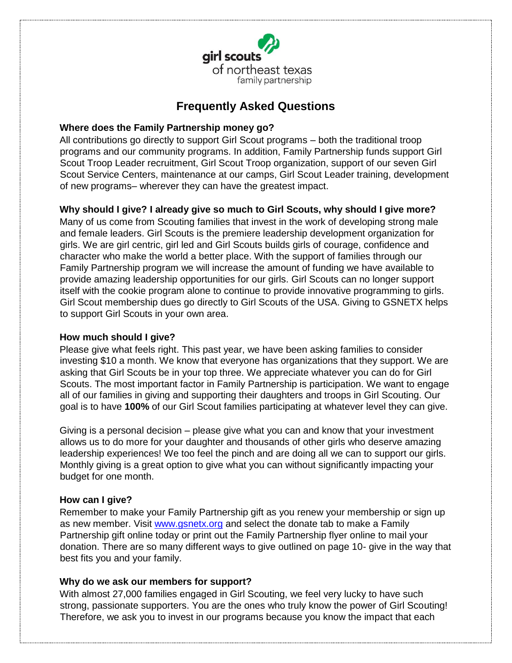

# **Frequently Asked Questions**

## **Where does the Family Partnership money go?**

All contributions go directly to support Girl Scout programs – both the traditional troop programs and our community programs. In addition, Family Partnership funds support Girl Scout Troop Leader recruitment, Girl Scout Troop organization, support of our seven Girl Scout Service Centers, maintenance at our camps, Girl Scout Leader training, development of new programs– wherever they can have the greatest impact.

# **Why should I give? I already give so much to Girl Scouts, why should I give more?**

Many of us come from Scouting families that invest in the work of developing strong male and female leaders. Girl Scouts is the premiere leadership development organization for girls. We are girl centric, girl led and Girl Scouts builds girls of courage, confidence and character who make the world a better place. With the support of families through our Family Partnership program we will increase the amount of funding we have available to provide amazing leadership opportunities for our girls. Girl Scouts can no longer support itself with the cookie program alone to continue to provide innovative programming to girls. Girl Scout membership dues go directly to Girl Scouts of the USA. Giving to GSNETX helps to support Girl Scouts in your own area.

## **How much should I give?**

Please give what feels right. This past year, we have been asking families to consider investing \$10 a month. We know that everyone has organizations that they support. We are asking that Girl Scouts be in your top three. We appreciate whatever you can do for Girl Scouts. The most important factor in Family Partnership is participation. We want to engage all of our families in giving and supporting their daughters and troops in Girl Scouting. Our goal is to have **100%** of our Girl Scout families participating at whatever level they can give.

Giving is a personal decision – please give what you can and know that your investment allows us to do more for your daughter and thousands of other girls who deserve amazing leadership experiences! We too feel the pinch and are doing all we can to support our girls. Monthly giving is a great option to give what you can without significantly impacting your budget for one month.

### **How can I give?**

Remember to make your Family Partnership gift as you renew your membership or sign up as new member. Visit [www.gsnetx.org](http://www.gsnetx.org/) and select the donate tab to make a Family Partnership gift online today or print out the Family Partnership flyer online to mail your donation. There are so many different ways to give outlined on page 10- give in the way that best fits you and your family.

### **Why do we ask our members for support?**

With almost 27,000 families engaged in Girl Scouting, we feel very lucky to have such strong, passionate supporters. You are the ones who truly know the power of Girl Scouting! Therefore, we ask you to invest in our programs because you know the impact that each